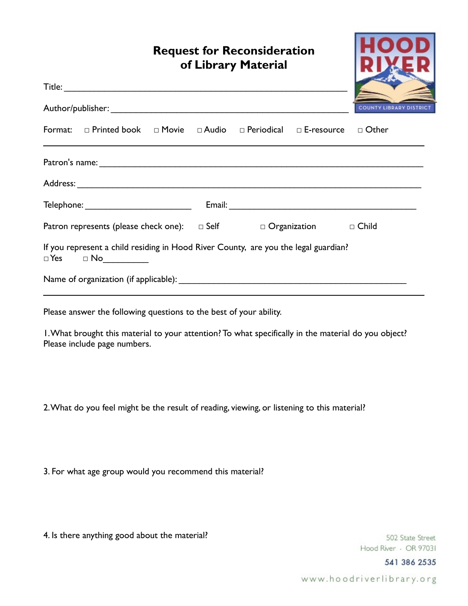|                                                                                    | <b>Request for Reconsideration</b><br>of Library Material                                                                                                                                  |  |  |  |  |                                |
|------------------------------------------------------------------------------------|--------------------------------------------------------------------------------------------------------------------------------------------------------------------------------------------|--|--|--|--|--------------------------------|
|                                                                                    |                                                                                                                                                                                            |  |  |  |  |                                |
|                                                                                    |                                                                                                                                                                                            |  |  |  |  | <b>COUNTY LIBRARY DISTRICT</b> |
|                                                                                    | Format: $\Box$ Printed book $\Box$ Movie $\Box$ Audio $\Box$ Periodical $\Box$ E-resource $\Box$ Other<br>,我们也不会有什么。""我们的人,我们也不会有什么?""我们的人,我们也不会有什么?""我们的人,我们也不会有什么?""我们的人,我们也不会有什么?""我们的人 |  |  |  |  |                                |
|                                                                                    |                                                                                                                                                                                            |  |  |  |  |                                |
|                                                                                    |                                                                                                                                                                                            |  |  |  |  |                                |
|                                                                                    |                                                                                                                                                                                            |  |  |  |  |                                |
| Patron represents (please check one): $\Box$ Self $\Box$ Organization $\Box$ Child |                                                                                                                                                                                            |  |  |  |  |                                |
|                                                                                    | If you represent a child residing in Hood River County, are you the legal guardian?<br>$\Box Y es \qquad \Box No \qquad \qquad \Box Yes$                                                   |  |  |  |  |                                |
|                                                                                    |                                                                                                                                                                                            |  |  |  |  |                                |
|                                                                                    | Please answer the following questions to the best of your ability.                                                                                                                         |  |  |  |  |                                |
|                                                                                    | I. What brought this material to your attention? To what specifically in the material do you object?                                                                                       |  |  |  |  |                                |

2. What do you feel might be the result of reading, viewing, or listening to this material?

3. For what age group would you recommend this material?

4. Is there anything good about the material?

Please include page numbers.

502 State Street Hood River · OR 97031

541 386 2535

www.hoodriverlibrary.org